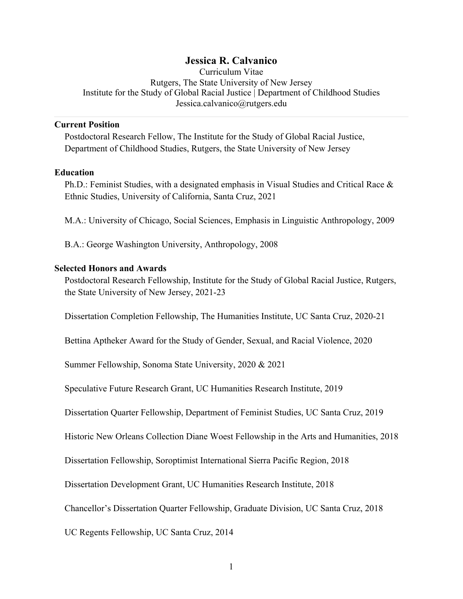## **Jessica R. Calvanico**

Curriculum Vitae Rutgers, The State University of New Jersey Institute for the Study of Global Racial Justice | Department of Childhood Studies Jessica.calvanico@rutgers.edu

#### **Current Position**

Postdoctoral Research Fellow, The Institute for the Study of Global Racial Justice, Department of Childhood Studies, Rutgers, the State University of New Jersey

#### **Education**

Ph.D.: Feminist Studies, with a designated emphasis in Visual Studies and Critical Race & Ethnic Studies, University of California, Santa Cruz, 2021

M.A.: University of Chicago, Social Sciences, Emphasis in Linguistic Anthropology, 2009

B.A.: George Washington University, Anthropology, 2008

#### **Selected Honors and Awards**

Postdoctoral Research Fellowship, Institute for the Study of Global Racial Justice, Rutgers, the State University of New Jersey, 2021-23

Dissertation Completion Fellowship, The Humanities Institute, UC Santa Cruz, 2020-21

Bettina Aptheker Award for the Study of Gender, Sexual, and Racial Violence, 2020

Summer Fellowship, Sonoma State University, 2020 & 2021

Speculative Future Research Grant, UC Humanities Research Institute, 2019

Dissertation Quarter Fellowship, Department of Feminist Studies, UC Santa Cruz, 2019

Historic New Orleans Collection Diane Woest Fellowship in the Arts and Humanities, 2018

Dissertation Fellowship, Soroptimist International Sierra Pacific Region, 2018

Dissertation Development Grant, UC Humanities Research Institute, 2018

Chancellor's Dissertation Quarter Fellowship, Graduate Division, UC Santa Cruz, 2018

UC Regents Fellowship, UC Santa Cruz, 2014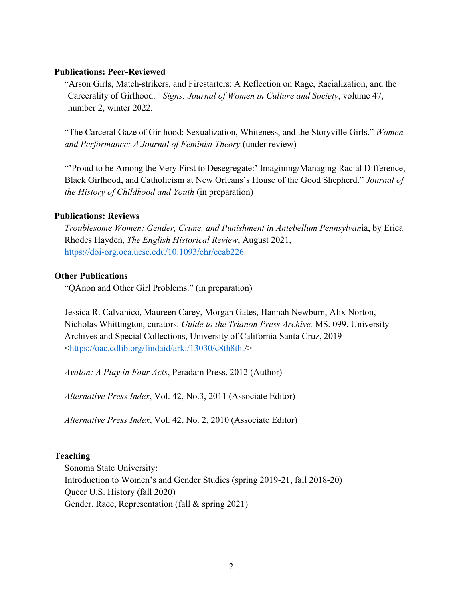### **Publications: Peer-Reviewed**

"Arson Girls, Match-strikers, and Firestarters: A Reflection on Rage, Racialization, and the Carcerality of Girlhood.*" Signs: Journal of Women in Culture and Society*, volume 47, number 2, winter 2022.

"The Carceral Gaze of Girlhood: Sexualization, Whiteness, and the Storyville Girls." *Women and Performance: A Journal of Feminist Theory* (under review)

"'Proud to be Among the Very First to Desegregate:' Imagining/Managing Racial Difference, Black Girlhood, and Catholicism at New Orleans's House of the Good Shepherd." *Journal of the History of Childhood and Youth* (in preparation)

#### **Publications: Reviews**

*Troublesome Women: Gender, Crime, and Punishment in Antebellum Pennsylvan*ia, by Erica Rhodes Hayden, *The English Historical Review*, August 2021, https://doi-org.oca.ucsc.edu/10.1093/ehr/ceab226

#### **Other Publications**

"QAnon and Other Girl Problems." (in preparation)

Jessica R. Calvanico, Maureen Carey, Morgan Gates, Hannah Newburn, Alix Norton, Nicholas Whittington, curators. *Guide to the Trianon Press Archive.* MS. 099. University Archives and Special Collections, University of California Santa Cruz, 2019 <https://oac.cdlib.org/findaid/ark:/13030/c8th8tht/>

*Avalon: A Play in Four Acts*, Peradam Press, 2012 (Author)

*Alternative Press Index*, Vol. 42, No.3, 2011 (Associate Editor)

*Alternative Press Index*, Vol. 42, No. 2, 2010 (Associate Editor)

#### **Teaching**

Sonoma State University: Introduction to Women's and Gender Studies (spring 2019-21, fall 2018-20) Queer U.S. History (fall 2020) Gender, Race, Representation (fall & spring 2021)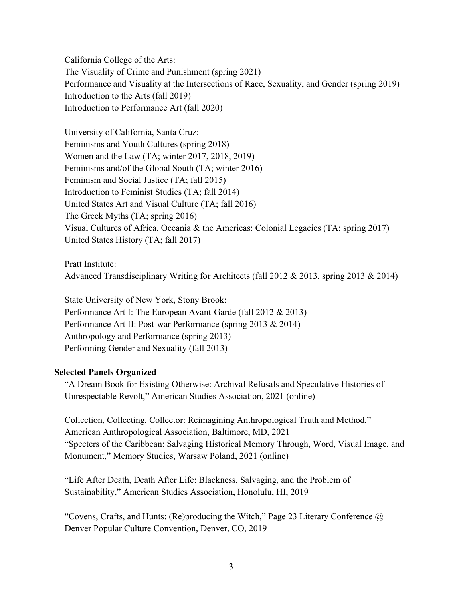California College of the Arts: The Visuality of Crime and Punishment (spring 2021) Performance and Visuality at the Intersections of Race, Sexuality, and Gender (spring 2019) Introduction to the Arts (fall 2019) Introduction to Performance Art (fall 2020)

University of California, Santa Cruz: Feminisms and Youth Cultures (spring 2018) Women and the Law (TA; winter 2017, 2018, 2019) Feminisms and/of the Global South (TA; winter 2016) Feminism and Social Justice (TA; fall 2015) Introduction to Feminist Studies (TA; fall 2014) United States Art and Visual Culture (TA; fall 2016) The Greek Myths (TA; spring 2016) Visual Cultures of Africa, Oceania & the Americas: Colonial Legacies (TA; spring 2017) United States History (TA; fall 2017)

Pratt Institute:

Advanced Transdisciplinary Writing for Architects (fall 2012 & 2013, spring 2013 & 2014)

State University of New York, Stony Brook: Performance Art I: The European Avant-Garde (fall 2012 & 2013) Performance Art II: Post-war Performance (spring 2013 & 2014) Anthropology and Performance (spring 2013) Performing Gender and Sexuality (fall 2013)

# **Selected Panels Organized**

"A Dream Book for Existing Otherwise: Archival Refusals and Speculative Histories of Unrespectable Revolt," American Studies Association, 2021 (online)

Collection, Collecting, Collector: Reimagining Anthropological Truth and Method," American Anthropological Association, Baltimore, MD, 2021 "Specters of the Caribbean: Salvaging Historical Memory Through, Word, Visual Image, and Monument," Memory Studies, Warsaw Poland, 2021 (online)

"Life After Death, Death After Life: Blackness, Salvaging, and the Problem of Sustainability," American Studies Association, Honolulu, HI, 2019

"Covens, Crafts, and Hunts: (Re)producing the Witch," Page 23 Literary Conference  $\omega$ Denver Popular Culture Convention, Denver, CO, 2019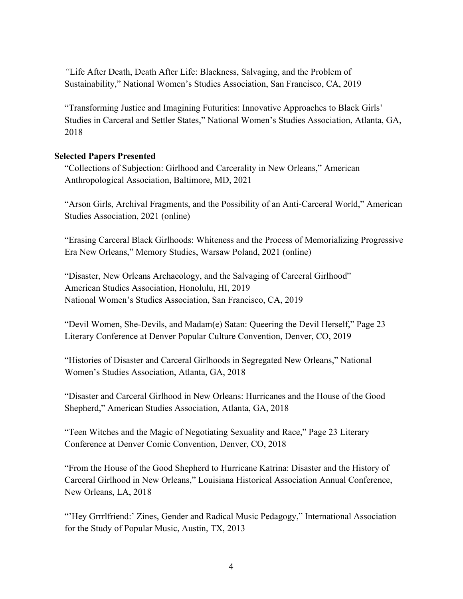*"*Life After Death, Death After Life: Blackness, Salvaging, and the Problem of Sustainability," National Women's Studies Association, San Francisco, CA, 2019

"Transforming Justice and Imagining Futurities: Innovative Approaches to Black Girls' Studies in Carceral and Settler States," National Women's Studies Association, Atlanta, GA, 2018

#### **Selected Papers Presented**

"Collections of Subjection: Girlhood and Carcerality in New Orleans," American Anthropological Association, Baltimore, MD, 2021

"Arson Girls, Archival Fragments, and the Possibility of an Anti-Carceral World," American Studies Association, 2021 (online)

"Erasing Carceral Black Girlhoods: Whiteness and the Process of Memorializing Progressive Era New Orleans," Memory Studies, Warsaw Poland, 2021 (online)

"Disaster, New Orleans Archaeology, and the Salvaging of Carceral Girlhood" American Studies Association, Honolulu, HI, 2019 National Women's Studies Association, San Francisco, CA, 2019

"Devil Women, She-Devils, and Madam(e) Satan: Queering the Devil Herself," Page 23 Literary Conference at Denver Popular Culture Convention, Denver, CO, 2019

"Histories of Disaster and Carceral Girlhoods in Segregated New Orleans," National Women's Studies Association, Atlanta, GA, 2018

"Disaster and Carceral Girlhood in New Orleans: Hurricanes and the House of the Good Shepherd," American Studies Association, Atlanta, GA, 2018

"Teen Witches and the Magic of Negotiating Sexuality and Race," Page 23 Literary Conference at Denver Comic Convention, Denver, CO, 2018

"From the House of the Good Shepherd to Hurricane Katrina: Disaster and the History of Carceral Girlhood in New Orleans," Louisiana Historical Association Annual Conference, New Orleans, LA, 2018

"Hey Grrrlfriend:' Zines, Gender and Radical Music Pedagogy," International Association for the Study of Popular Music, Austin, TX, 2013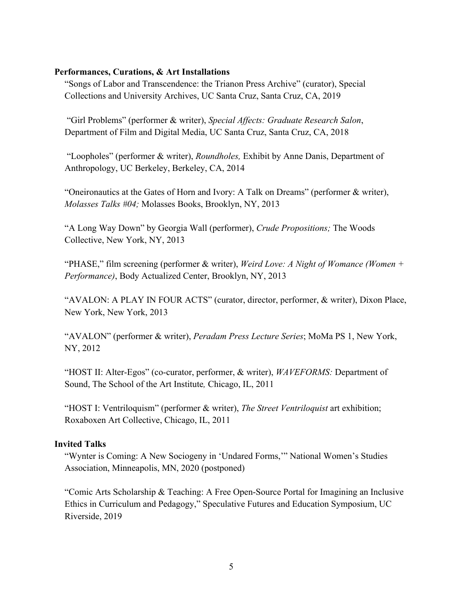#### **Performances, Curations, & Art Installations**

"Songs of Labor and Transcendence: the Trianon Press Archive" (curator), Special Collections and University Archives, UC Santa Cruz, Santa Cruz, CA, 2019

"Girl Problems" (performer & writer), *Special Affects: Graduate Research Salon*, Department of Film and Digital Media, UC Santa Cruz, Santa Cruz, CA, 2018

"Loopholes" (performer & writer), *Roundholes,* Exhibit by Anne Danis, Department of Anthropology, UC Berkeley, Berkeley, CA, 2014

"Oneironautics at the Gates of Horn and Ivory: A Talk on Dreams" (performer & writer), *Molasses Talks #04;* Molasses Books, Brooklyn, NY, 2013

"A Long Way Down" by Georgia Wall (performer), *Crude Propositions;* The Woods Collective, New York, NY, 2013

"PHASE," film screening (performer & writer), *Weird Love: A Night of Womance (Women + Performance)*, Body Actualized Center, Brooklyn, NY, 2013

"AVALON: A PLAY IN FOUR ACTS" (curator, director, performer, & writer), Dixon Place, New York, New York, 2013

"AVALON" (performer & writer), *Peradam Press Lecture Series*; MoMa PS 1, New York, NY, 2012

"HOST II: Alter-Egos" (co-curator, performer, & writer), *WAVEFORMS:* Department of Sound, The School of the Art Institute*,* Chicago, IL, 2011

"HOST I: Ventriloquism" (performer & writer), *The Street Ventriloquist* art exhibition; Roxaboxen Art Collective, Chicago, IL, 2011

# **Invited Talks**

"Wynter is Coming: A New Sociogeny in 'Undared Forms,'" National Women's Studies Association, Minneapolis, MN, 2020 (postponed)

"Comic Arts Scholarship & Teaching: A Free Open-Source Portal for Imagining an Inclusive Ethics in Curriculum and Pedagogy," Speculative Futures and Education Symposium, UC Riverside, 2019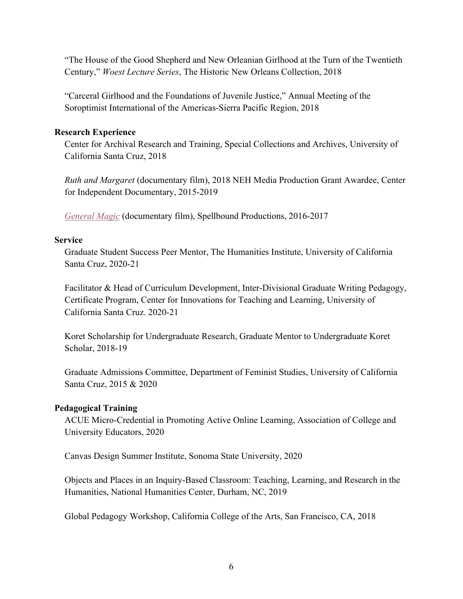"The House of the Good Shepherd and New Orleanian Girlhood at the Turn of the Twentieth Century," *Woest Lecture Series*, The Historic New Orleans Collection, 2018

"Carceral Girlhood and the Foundations of Juvenile Justice," Annual Meeting of the Soroptimist International of the Americas-Sierra Pacific Region, 2018

### **Research Experience**

Center for Archival Research and Training, Special Collections and Archives, University of California Santa Cruz, 2018

*Ruth and Margaret* (documentary film), 2018 NEH Media Production Grant Awardee, Center for Independent Documentary, 2015-2019

*General Magic* (documentary film), Spellbound Productions, 2016-2017

## **Service**

Graduate Student Success Peer Mentor, The Humanities Institute, University of California Santa Cruz, 2020-21

Facilitator & Head of Curriculum Development, Inter-Divisional Graduate Writing Pedagogy, Certificate Program, Center for Innovations for Teaching and Learning, University of California Santa Cruz. 2020-21

Koret Scholarship for Undergraduate Research, Graduate Mentor to Undergraduate Koret Scholar, 2018-19

Graduate Admissions Committee, Department of Feminist Studies, University of California Santa Cruz, 2015 & 2020

# **Pedagogical Training**

ACUE Micro-Credential in Promoting Active Online Learning, Association of College and University Educators, 2020

Canvas Design Summer Institute, Sonoma State University, 2020

Objects and Places in an Inquiry-Based Classroom: Teaching, Learning, and Research in the Humanities, National Humanities Center, Durham, NC, 2019

Global Pedagogy Workshop, California College of the Arts, San Francisco, CA, 2018